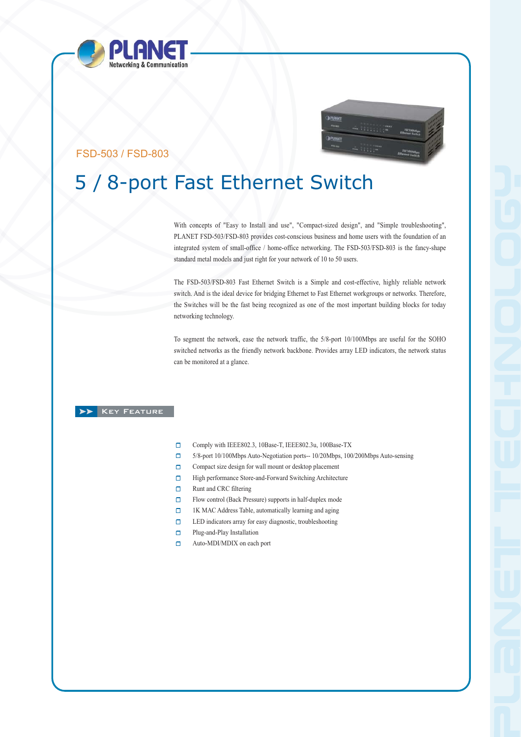



## FSD-503 / FSD-803

# 5 / 8-port Fast Ethernet Switch

With concepts of "Easy to Install and use", "Compact-sized design", and "Simple troubleshooting", PLANET FSD-503/FSD-803 provides cost-conscious business and home users with the foundation of an integrated system of small-office / home-office networking. The FSD-503/FSD-803 is the fancy-shape standard metal models and just right for your network of 10 to 50 users.

The FSD-503/FSD-803 Fast Ethernet Switch is a Simple and cost-effective, highly reliable network switch. And is the ideal device for bridging Ethernet to Fast Ethernet workgroups or networks. Therefore, the Switches will be the fast being recognized as one of the most important building blocks for today networking technology.

To segment the network, ease the network traffic, the 5/8-port 10/100Mbps are useful for the SOHO switched networks as the friendly network backbone. Provides array LED indicators, the network status can be monitored at a glance.

### **XX** KEY FEATURE

- $\Box$ Comply with IEEE802.3, 10Base-T, IEEE802.3u, 100Base-TX
- 5/8-port 10/100Mbps Auto-Negotiation ports-- 10/20Mbps, 100/200Mbps Auto-sensing  $\Box$
- $\Box$ Compact size design for wall mount or desktop placement
- $\Box$ High performance Store-and-Forward Switching Architecture
- $\Box$ Runt and CRC filtering
- $\Box$ Flow control (Back Pressure) supports in half-duplex mode
- $\Box$ 1K MAC Address Table, automatically learning and aging
- LED indicators array for easy diagnostic, troubleshooting  $\Box$
- $\Box$ Plug-and-Play Installation
- $\Box$ Auto-MDI/MDIX on each port